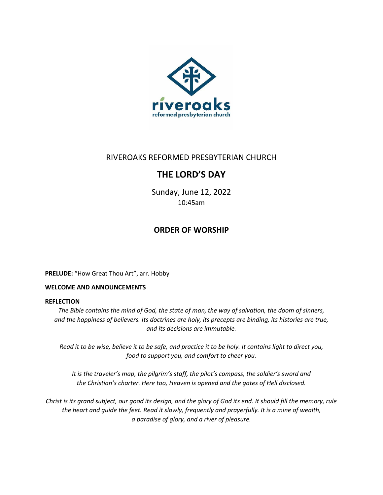

# RIVEROAKS REFORMED PRESBYTERIAN CHURCH

# **THE LORD'S DAY**

Sunday, June 12, 2022 10:45am

# **ORDER OF WORSHIP**

**PRELUDE:** "How Great Thou Art", arr. Hobby

## **WELCOME AND ANNOUNCEMENTS**

### **REFLECTION**

*The Bible contains the mind of God, the state of man, the way of salvation, the doom of sinners, and the happiness of believers. Its doctrines are holy, its precepts are binding, its histories are true, and its decisions are immutable.*

*Read it to be wise, believe it to be safe, and practice it to be holy. It contains light to direct you, food to support you, and comfort to cheer you.*

*It is the traveler's map, the pilgrim's staff, the pilot's compass, the soldier's sword and the Christian's charter. Here too, Heaven is opened and the gates of Hell disclosed.*

*Christ is its grand subject, our good its design, and the glory of God its end. It should fill the memory, rule the heart and guide the feet. Read it slowly, frequently and prayerfully. It is a mine of wealth, a paradise of glory, and a river of pleasure.*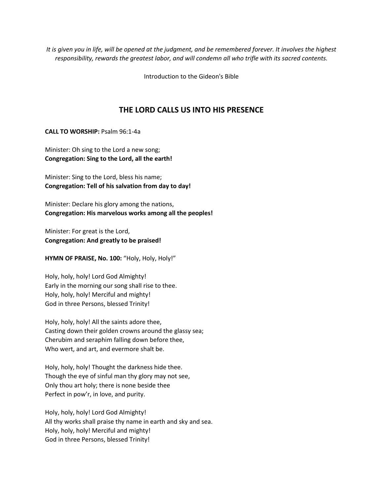*It is given you in life, will be opened at the judgment, and be remembered forever. It involves the highest responsibility, rewards the greatest labor, and will condemn all who trifle with its sacred contents.*

Introduction to the Gideon's Bible

## **THE LORD CALLS US INTO HIS PRESENCE**

**CALL TO WORSHIP:** Psalm 96:1-4a

Minister: Oh sing to the Lord a new song; **Congregation: Sing to the Lord, all the earth!**

Minister: Sing to the Lord, bless his name; **Congregation: Tell of his salvation from day to day!**

Minister: Declare his glory among the nations, **Congregation: His marvelous works among all the peoples!**

Minister: For great is the Lord, **Congregation: And greatly to be praised!**

**HYMN OF PRAISE, No. 100:** "Holy, Holy, Holy!"

Holy, holy, holy! Lord God Almighty! Early in the morning our song shall rise to thee. Holy, holy, holy! Merciful and mighty! God in three Persons, blessed Trinity!

Holy, holy, holy! All the saints adore thee, Casting down their golden crowns around the glassy sea; Cherubim and seraphim falling down before thee, Who wert, and art, and evermore shalt be.

Holy, holy, holy! Thought the darkness hide thee. Though the eye of sinful man thy glory may not see, Only thou art holy; there is none beside thee Perfect in pow'r, in love, and purity.

Holy, holy, holy! Lord God Almighty! All thy works shall praise thy name in earth and sky and sea. Holy, holy, holy! Merciful and mighty! God in three Persons, blessed Trinity!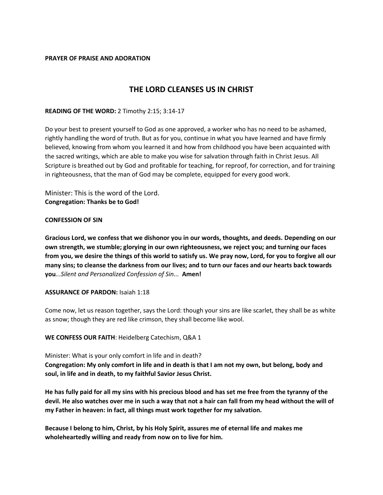#### **PRAYER OF PRAISE AND ADORATION**

# **THE LORD CLEANSES US IN CHRIST**

#### **READING OF THE WORD:** 2 Timothy 2:15; 3:14-17

Do your best to present yourself to God as one approved, a worker who has no need to be ashamed, rightly handling the word of truth. But as for you, continue in what you have learned and have firmly believed, knowing from whom you learned it and how from childhood you have been acquainted with the sacred writings, which are able to make you wise for salvation through faith in Christ Jesus. All Scripture is breathed out by God and profitable for teaching, for reproof, for correction, and for training in righteousness, that the man of God may be complete, equipped for every good work.

Minister: This is the word of the Lord. **Congregation: Thanks be to God!**

#### **CONFESSION OF SIN**

**Gracious Lord, we confess that we dishonor you in our words, thoughts, and deeds. Depending on our own strength, we stumble; glorying in our own righteousness, we reject you; and turning our faces from you, we desire the things of this world to satisfy us. We pray now, Lord, for you to forgive all our many sins; to cleanse the darkness from our lives; and to turn our faces and our hearts back towards you***...Silent and Personalized Confession of Sin...* **Amen!**

#### **ASSURANCE OF PARDON:** Isaiah 1:18

Come now, let us reason together, says the Lord: though your sins are like scarlet, they shall be as white as snow; though they are red like crimson, they shall become like wool.

#### **WE CONFESS OUR FAITH**: Heidelberg Catechism, Q&A 1

Minister: What is your only comfort in life and in death? **Congregation: My only comfort in life and in death is that I am not my own, but belong, body and soul, in life and in death, to my faithful Savior Jesus Christ.**

**He has fully paid for all my sins with his precious blood and has set me free from the tyranny of the devil. He also watches over me in such a way that not a hair can fall from my head without the will of my Father in heaven: in fact, all things must work together for my salvation.**

**Because I belong to him, Christ, by his Holy Spirit, assures me of eternal life and makes me wholeheartedly willing and ready from now on to live for him.**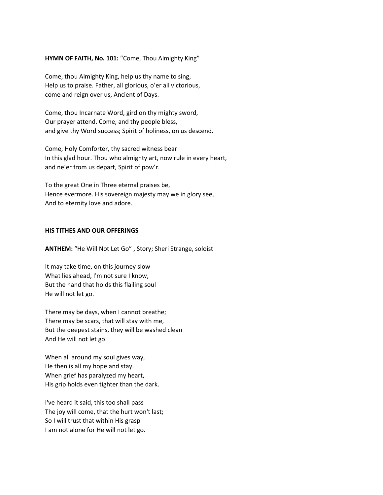#### **HYMN OF FAITH, No. 101:** "Come, Thou Almighty King"

Come, thou Almighty King, help us thy name to sing, Help us to praise. Father, all glorious, o'er all victorious, come and reign over us, Ancient of Days.

Come, thou Incarnate Word, gird on thy mighty sword, Our prayer attend. Come, and thy people bless, and give thy Word success; Spirit of holiness, on us descend.

Come, Holy Comforter, thy sacred witness bear In this glad hour. Thou who almighty art, now rule in every heart, and ne'er from us depart, Spirit of pow'r.

To the great One in Three eternal praises be, Hence evermore. His sovereign majesty may we in glory see, And to eternity love and adore.

#### **HIS TITHES AND OUR OFFERINGS**

**ANTHEM:** "He Will Not Let Go" , Story; Sheri Strange, soloist

It may take time, on this journey slow What lies ahead, I'm not sure I know, But the hand that holds this flailing soul He will not let go.

There may be days, when I cannot breathe; There may be scars, that will stay with me, But the deepest stains, they will be washed clean And He will not let go.

When all around my soul gives way, He then is all my hope and stay. When grief has paralyzed my heart, His grip holds even tighter than the dark.

I've heard it said, this too shall pass The joy will come, that the hurt won't last; So I will trust that within His grasp I am not alone for He will not let go.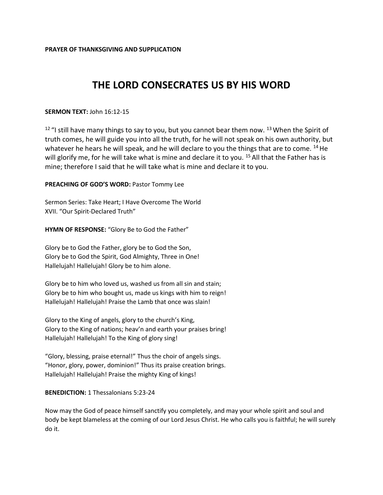# **THE LORD CONSECRATES US BY HIS WORD**

### **SERMON TEXT:** John 16:12-15

 $12$  "I still have many things to say to you, but you cannot bear them now.  $13$  When the Spirit of truth comes, he will guide you into all the truth, for he will not speak on his own authority, but whatever he hears he will speak, and he will declare to you the things that are to come.  $^{14}$  He will glorify me, for he will take what is mine and declare it to you. <sup>15</sup> All that the Father has is mine; therefore I said that he will take what is mine and declare it to you.

#### **PREACHING OF GOD'S WORD:** Pastor Tommy Lee

Sermon Series: Take Heart; I Have Overcome The World XVII. "Our Spirit-Declared Truth"

**HYMN OF RESPONSE:** "Glory Be to God the Father"

Glory be to God the Father, glory be to God the Son, Glory be to God the Spirit, God Almighty, Three in One! Hallelujah! Hallelujah! Glory be to him alone.

Glory be to him who loved us, washed us from all sin and stain; Glory be to him who bought us, made us kings with him to reign! Hallelujah! Hallelujah! Praise the Lamb that once was slain!

Glory to the King of angels, glory to the church's King, Glory to the King of nations; heav'n and earth your praises bring! Hallelujah! Hallelujah! To the King of glory sing!

"Glory, blessing, praise eternal!" Thus the choir of angels sings. "Honor, glory, power, dominion!" Thus its praise creation brings. Hallelujah! Hallelujah! Praise the mighty King of kings!

**BENEDICTION: 1 Thessalonians 5:23-24** 

Now may the God of peace himself sanctify you completely, and may your whole spirit and soul and body be kept blameless at the coming of our Lord Jesus Christ. He who calls you is faithful; he will surely do it.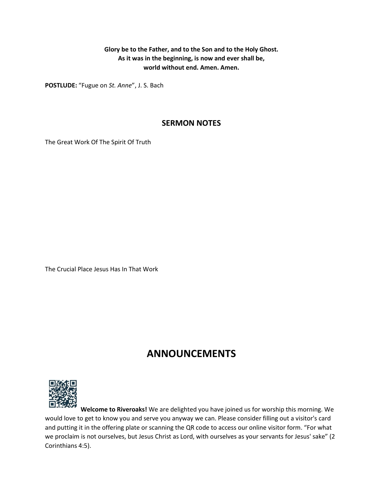**Glory be to the Father, and to the Son and to the Holy Ghost. As it was in the beginning, is now and ever shall be, world without end. Amen. Amen.**

**POSTLUDE:** "Fugue on *St. Anne*", J. S. Bach

# **SERMON NOTES**

The Great Work Of The Spirit Of Truth

The Crucial Place Jesus Has In That Work

# **ANNOUNCEMENTS**



**Welcome to Riveroaks!** We are delighted you have joined us for worship this morning. We would love to get to know you and serve you anyway we can. Please consider filling out a visitor's card and putting it in the offering plate or scanning the QR code to access our online visitor form. "For what we proclaim is not ourselves, but Jesus Christ as Lord, with ourselves as your servants for Jesus' sake" (2 Corinthians 4:5).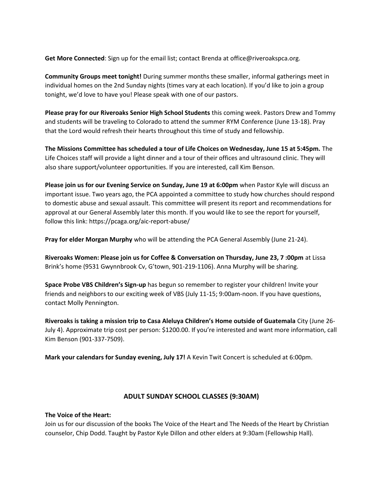**Get More Connected**: Sign up for the email list; contact Brenda at office@riveroakspca.org.

**Community Groups meet tonight!** During summer months these smaller, informal gatherings meet in individual homes on the 2nd Sunday nights (times vary at each location). If you'd like to join a group tonight, we'd love to have you! Please speak with one of our pastors.

**Please pray for our Riveroaks Senior High School Students** this coming week. Pastors Drew and Tommy and students will be traveling to Colorado to attend the summer RYM Conference (June 13-18). Pray that the Lord would refresh their hearts throughout this time of study and fellowship.

**The Missions Committee has scheduled a tour of Life Choices on Wednesday, June 15 at 5:45pm.** The Life Choices staff will provide a light dinner and a tour of their offices and ultrasound clinic. They will also share support/volunteer opportunities. If you are interested, call Kim Benson.

**Please join us for our Evening Service on Sunday, June 19 at 6:00pm** when Pastor Kyle will discuss an important issue. Two years ago, the PCA appointed a committee to study how churches should respond to domestic abuse and sexual assault. This committee will present its report and recommendations for approval at our General Assembly later this month. If you would like to see the report for yourself, follow this link: https://pcaga.org/aic-report-abuse/

**Pray for elder Morgan Murphy** who will be attending the PCA General Assembly (June 21-24).

**Riveroaks Women: Please join us for Coffee & Conversation on Thursday, June 23, 7 :00pm** at Lissa Brink's home (9531 Gwynnbrook Cv, G'town, 901-219-1106). Anna Murphy will be sharing.

**Space Probe VBS Children's Sign-up** has begun so remember to register your children! Invite your friends and neighbors to our exciting week of VBS (July 11-15; 9:00am-noon. If you have questions, contact Molly Pennington.

**Riveroaks is taking a mission trip to Casa Aleluya Children's Home outside of Guatemala** City (June 26- July 4). Approximate trip cost per person: \$1200.00. If you're interested and want more information, call Kim Benson (901-337-7509).

**Mark your calendars for Sunday evening, July 17!** A Kevin Twit Concert is scheduled at 6:00pm.

## **ADULT SUNDAY SCHOOL CLASSES (9:30AM)**

### **The Voice of the Heart:**

Join us for our discussion of the books The Voice of the Heart and The Needs of the Heart by Christian counselor, Chip Dodd. Taught by Pastor Kyle Dillon and other elders at 9:30am (Fellowship Hall).